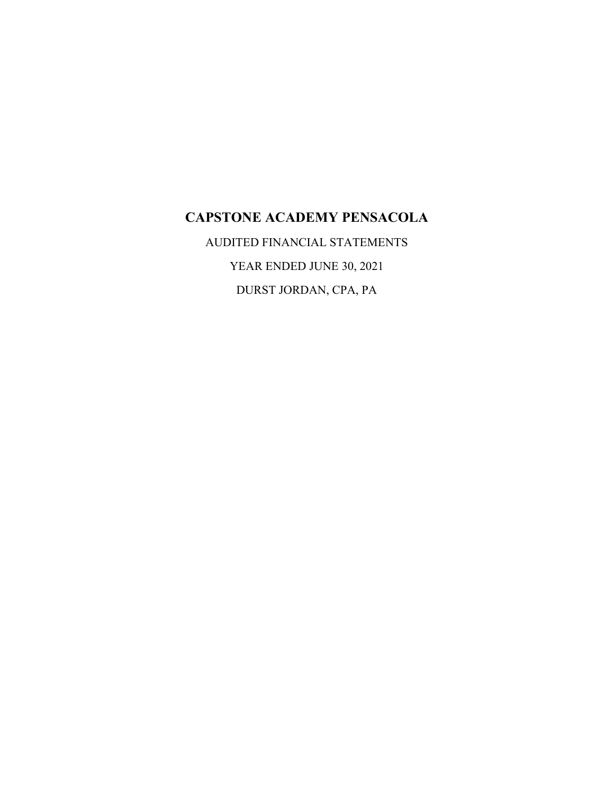# **CAPSTONE ACADEMY PENSACOLA**

AUDITED FINANCIAL STATEMENTS YEAR ENDED JUNE 30, 2021 DURST JORDAN, CPA, PA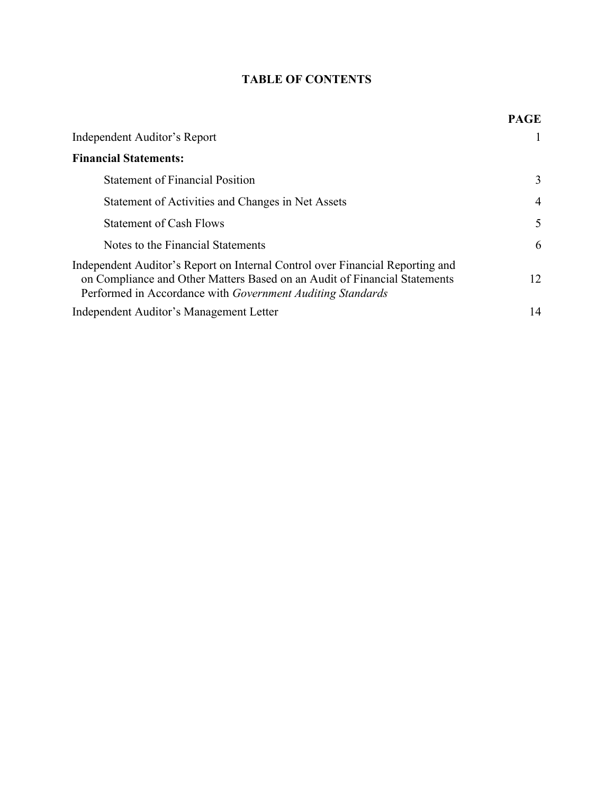# **TABLE OF CONTENTS**

|                                                                                                                                                                                                                                 | <b>PAGE</b>    |
|---------------------------------------------------------------------------------------------------------------------------------------------------------------------------------------------------------------------------------|----------------|
| Independent Auditor's Report                                                                                                                                                                                                    |                |
| <b>Financial Statements:</b>                                                                                                                                                                                                    |                |
| <b>Statement of Financial Position</b>                                                                                                                                                                                          | 3              |
| Statement of Activities and Changes in Net Assets                                                                                                                                                                               | $\overline{4}$ |
| <b>Statement of Cash Flows</b>                                                                                                                                                                                                  | 5              |
| Notes to the Financial Statements                                                                                                                                                                                               | 6              |
| Independent Auditor's Report on Internal Control over Financial Reporting and<br>on Compliance and Other Matters Based on an Audit of Financial Statements<br>Performed in Accordance with <i>Government Auditing Standards</i> | 12             |
| Independent Auditor's Management Letter                                                                                                                                                                                         | 14             |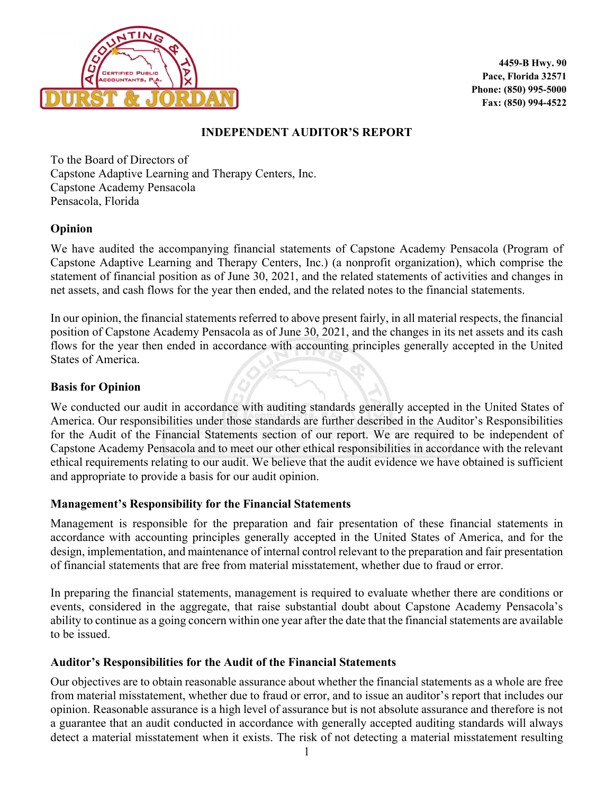

**4459-B Hwy. 90 Pace, Florida 32571 Phone: (850) 995-5000 Fax: (850) 994-4522** 

# **INDEPENDENT AUDITOR'S REPORT**

To the Board of Directors of Capstone Adaptive Learning and Therapy Centers, Inc. Capstone Academy Pensacola Pensacola, Florida

# **Opinion**

We have audited the accompanying financial statements of Capstone Academy Pensacola (Program of Capstone Adaptive Learning and Therapy Centers, Inc.) (a nonprofit organization), which comprise the statement of financial position as of June 30, 2021, and the related statements of activities and changes in net assets, and cash flows for the year then ended, and the related notes to the financial statements.

In our opinion, the financial statements referred to above present fairly, in all material respects, the financial position of Capstone Academy Pensacola as of June 30, 2021, and the changes in its net assets and its cash flows for the year then ended in accordance with accounting principles generally accepted in the United States of America.

# **Basis for Opinion**

We conducted our audit in accordance with auditing standards generally accepted in the United States of America. Our responsibilities under those standards are further described in the Auditor's Responsibilities for the Audit of the Financial Statements section of our report. We are required to be independent of Capstone Academy Pensacola and to meet our other ethical responsibilities in accordance with the relevant ethical requirements relating to our audit. We believe that the audit evidence we have obtained is sufficient and appropriate to provide a basis for our audit opinion.

# **Management's Responsibility for the Financial Statements**

Management is responsible for the preparation and fair presentation of these financial statements in accordance with accounting principles generally accepted in the United States of America, and for the design, implementation, and maintenance of internal control relevant to the preparation and fair presentation of financial statements that are free from material misstatement, whether due to fraud or error.

In preparing the financial statements, management is required to evaluate whether there are conditions or events, considered in the aggregate, that raise substantial doubt about Capstone Academy Pensacola's ability to continue as a going concern within one year after the date that the financial statements are available to be issued.

# **Auditor's Responsibilities for the Audit of the Financial Statements**

Our objectives are to obtain reasonable assurance about whether the financial statements as a whole are free from material misstatement, whether due to fraud or error, and to issue an auditor's report that includes our opinion. Reasonable assurance is a high level of assurance but is not absolute assurance and therefore is not a guarantee that an audit conducted in accordance with generally accepted auditing standards will always detect a material misstatement when it exists. The risk of not detecting a material misstatement resulting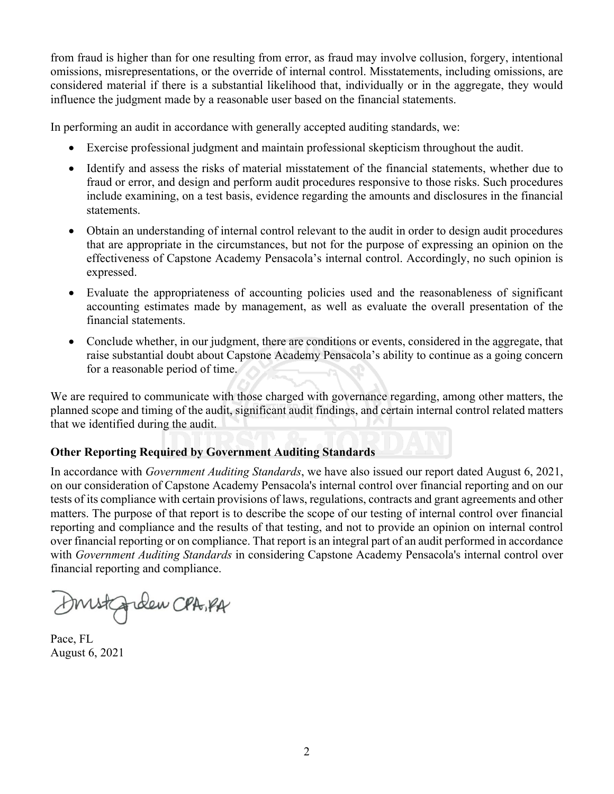from fraud is higher than for one resulting from error, as fraud may involve collusion, forgery, intentional omissions, misrepresentations, or the override of internal control. Misstatements, including omissions, are considered material if there is a substantial likelihood that, individually or in the aggregate, they would influence the judgment made by a reasonable user based on the financial statements.

In performing an audit in accordance with generally accepted auditing standards, we:

- Exercise professional judgment and maintain professional skepticism throughout the audit.
- Identify and assess the risks of material misstatement of the financial statements, whether due to fraud or error, and design and perform audit procedures responsive to those risks. Such procedures include examining, on a test basis, evidence regarding the amounts and disclosures in the financial statements.
- Obtain an understanding of internal control relevant to the audit in order to design audit procedures that are appropriate in the circumstances, but not for the purpose of expressing an opinion on the effectiveness of Capstone Academy Pensacola's internal control. Accordingly, no such opinion is expressed.
- Evaluate the appropriateness of accounting policies used and the reasonableness of significant accounting estimates made by management, as well as evaluate the overall presentation of the financial statements.
- Conclude whether, in our judgment, there are conditions or events, considered in the aggregate, that raise substantial doubt about Capstone Academy Pensacola's ability to continue as a going concern for a reasonable period of time.

We are required to communicate with those charged with governance regarding, among other matters, the planned scope and timing of the audit, significant audit findings, and certain internal control related matters that we identified during the audit.

# **Other Reporting Required by Government Auditing Standards**

In accordance with *Government Auditing Standards*, we have also issued our report dated August 6, 2021, on our consideration of Capstone Academy Pensacola's internal control over financial reporting and on our tests of its compliance with certain provisions of laws, regulations, contracts and grant agreements and other matters. The purpose of that report is to describe the scope of our testing of internal control over financial reporting and compliance and the results of that testing, and not to provide an opinion on internal control over financial reporting or on compliance. That report is an integral part of an audit performed in accordance with *Government Auditing Standards* in considering Capstone Academy Pensacola's internal control over financial reporting and compliance.

Drustgreben CPA, PA

Pace, FL August 6, 2021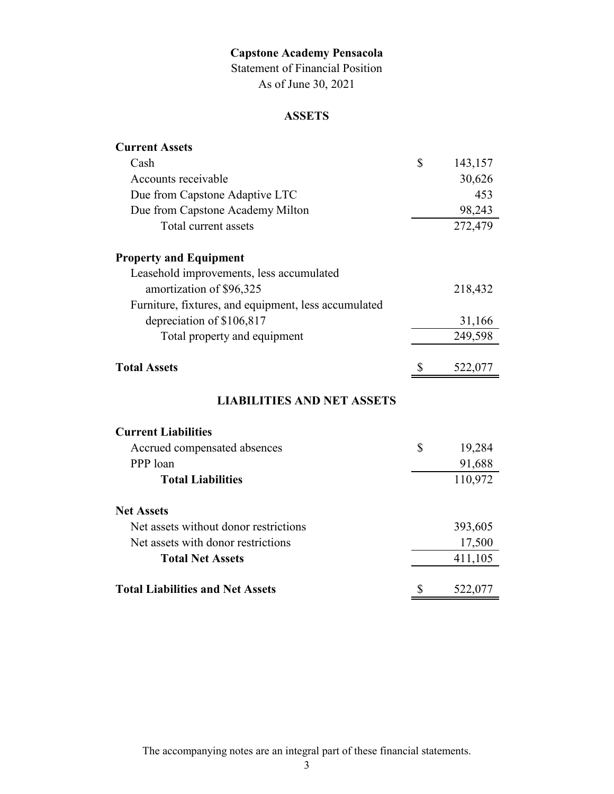Statement of Financial Position As of June 30, 2021

### **ASSETS**

| <b>Current Assets</b>                                |              |         |
|------------------------------------------------------|--------------|---------|
| Cash                                                 | $\mathbb{S}$ | 143,157 |
| Accounts receivable                                  |              | 30,626  |
| Due from Capstone Adaptive LTC                       |              | 453     |
| Due from Capstone Academy Milton                     |              | 98,243  |
| Total current assets                                 |              | 272,479 |
| <b>Property and Equipment</b>                        |              |         |
| Leasehold improvements, less accumulated             |              |         |
| amortization of \$96,325                             |              | 218,432 |
| Furniture, fixtures, and equipment, less accumulated |              |         |
| depreciation of \$106,817                            |              | 31,166  |
| Total property and equipment                         |              | 249,598 |
| <b>Total Assets</b>                                  | \$           | 522,077 |
| <b>LIABILITIES AND NET ASSETS</b>                    |              |         |
| <b>Current Liabilities</b>                           |              |         |
| Accrued compensated absences                         | \$           | 19,284  |
| PPP loan                                             |              | 91,688  |
| <b>Total Liabilities</b>                             |              | 110,972 |
| <b>Net Assets</b>                                    |              |         |
| Net assets without donor restrictions                |              | 393,605 |
| Net assets with donor restrictions                   |              | 17,500  |
| <b>Total Net Assets</b>                              |              | 411,105 |
| <b>Total Liabilities and Net Assets</b>              | \$           | 522,077 |

The accompanying notes are an integral part of these financial statements.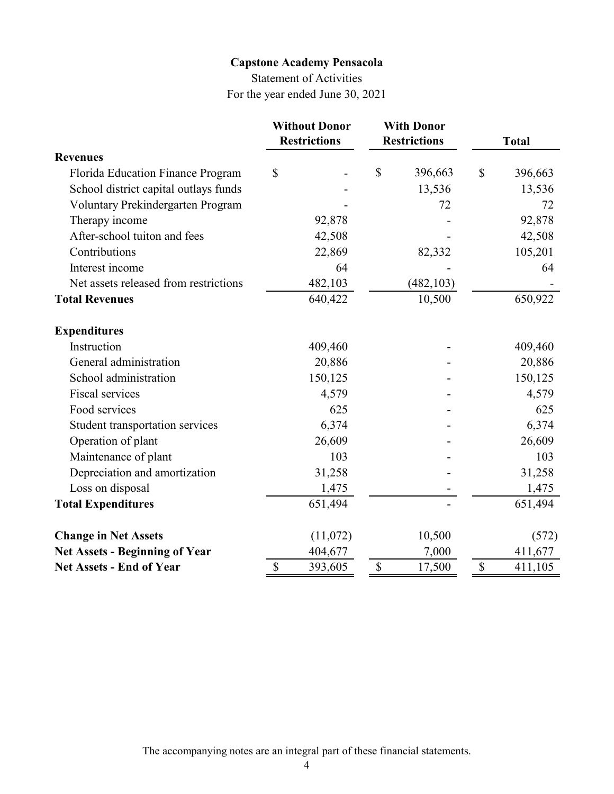Statement of Activities

For the year ended June 30, 2021

|                                       | <b>Without Donor</b><br><b>Restrictions</b> |                           | <b>With Donor</b><br><b>Restrictions</b> |    | <b>Total</b> |
|---------------------------------------|---------------------------------------------|---------------------------|------------------------------------------|----|--------------|
| <b>Revenues</b>                       |                                             |                           |                                          |    |              |
| Florida Education Finance Program     | \$                                          | \$                        | 396,663                                  | \$ | 396,663      |
| School district capital outlays funds |                                             |                           | 13,536                                   |    | 13,536       |
| Voluntary Prekindergarten Program     |                                             |                           | 72                                       |    | 72           |
| Therapy income                        | 92,878                                      |                           |                                          |    | 92,878       |
| After-school tuiton and fees          | 42,508                                      |                           |                                          |    | 42,508       |
| Contributions                         | 22,869                                      |                           | 82,332                                   |    | 105,201      |
| Interest income                       | 64                                          |                           |                                          |    | 64           |
| Net assets released from restrictions | 482,103                                     |                           | (482, 103)                               |    |              |
| <b>Total Revenues</b>                 | 640,422                                     |                           | 10,500                                   |    | 650,922      |
| <b>Expenditures</b>                   |                                             |                           |                                          |    |              |
| Instruction                           | 409,460                                     |                           |                                          |    | 409,460      |
| General administration                | 20,886                                      |                           |                                          |    | 20,886       |
| School administration                 | 150,125                                     |                           |                                          |    | 150,125      |
| <b>Fiscal services</b>                | 4,579                                       |                           |                                          |    | 4,579        |
| Food services                         | 625                                         |                           |                                          |    | 625          |
| Student transportation services       | 6,374                                       |                           |                                          |    | 6,374        |
| Operation of plant                    | 26,609                                      |                           |                                          |    | 26,609       |
| Maintenance of plant                  | 103                                         |                           |                                          |    | 103          |
| Depreciation and amortization         | 31,258                                      |                           |                                          |    | 31,258       |
| Loss on disposal                      | 1,475                                       |                           |                                          |    | 1,475        |
| <b>Total Expenditures</b>             | 651,494                                     |                           |                                          |    | 651,494      |
| <b>Change in Net Assets</b>           | (11,072)                                    |                           | 10,500                                   |    | (572)        |
| <b>Net Assets - Beginning of Year</b> | 404,677                                     |                           | 7,000                                    |    | 411,677      |
| <b>Net Assets - End of Year</b>       | \$<br>393,605                               | $\boldsymbol{\mathsf{S}}$ | 17,500                                   | \$ | 411,105      |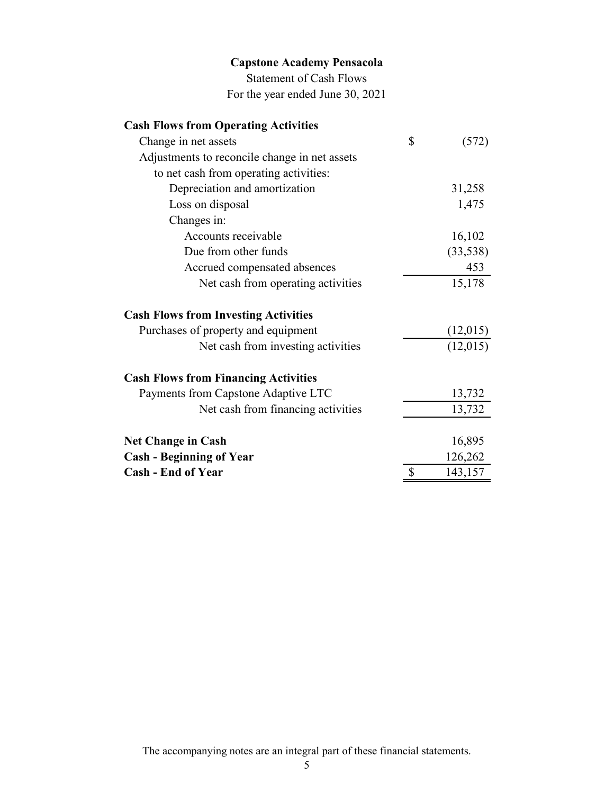Statement of Cash Flows For the year ended June 30, 2021

| <b>Cash Flows from Operating Activities</b>   |    |                             |
|-----------------------------------------------|----|-----------------------------|
| Change in net assets                          | \$ | (572)                       |
| Adjustments to reconcile change in net assets |    |                             |
| to net cash from operating activities:        |    |                             |
| Depreciation and amortization                 |    | 31,258                      |
| Loss on disposal                              |    | 1,475                       |
| Changes in:                                   |    |                             |
| Accounts receivable                           |    | 16,102                      |
| Due from other funds                          |    | (33,538)                    |
| Accrued compensated absences                  |    | 453                         |
| Net cash from operating activities            |    | 15,178                      |
| <b>Cash Flows from Investing Activities</b>   |    |                             |
| Purchases of property and equipment           |    |                             |
| Net cash from investing activities            |    | $\frac{(12,015)}{(12,015)}$ |
| <b>Cash Flows from Financing Activities</b>   |    |                             |
| Payments from Capstone Adaptive LTC           |    | 13,732                      |
| Net cash from financing activities            |    | 13,732                      |
| <b>Net Change in Cash</b>                     |    | 16,895                      |
| <b>Cash - Beginning of Year</b>               |    | 126,262                     |
| <b>Cash - End of Year</b>                     | \$ | 143,157                     |

The accompanying notes are an integral part of these financial statements.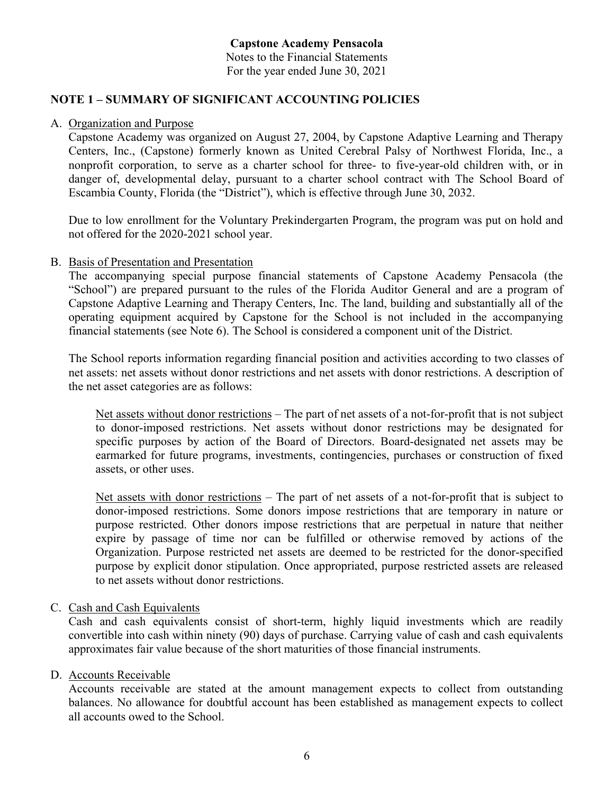Notes to the Financial Statements For the year ended June 30, 2021

### **NOTE 1 – SUMMARY OF SIGNIFICANT ACCOUNTING POLICIES**

#### A. Organization and Purpose

Capstone Academy was organized on August 27, 2004, by Capstone Adaptive Learning and Therapy Centers, Inc., (Capstone) formerly known as United Cerebral Palsy of Northwest Florida, Inc., a nonprofit corporation, to serve as a charter school for three- to five-year-old children with, or in danger of, developmental delay, pursuant to a charter school contract with The School Board of Escambia County, Florida (the "District"), which is effective through June 30, 2032.

Due to low enrollment for the Voluntary Prekindergarten Program, the program was put on hold and not offered for the 2020-2021 school year.

#### B. Basis of Presentation and Presentation

The accompanying special purpose financial statements of Capstone Academy Pensacola (the "School") are prepared pursuant to the rules of the Florida Auditor General and are a program of Capstone Adaptive Learning and Therapy Centers, Inc. The land, building and substantially all of the operating equipment acquired by Capstone for the School is not included in the accompanying financial statements (see Note 6). The School is considered a component unit of the District.

The School reports information regarding financial position and activities according to two classes of net assets: net assets without donor restrictions and net assets with donor restrictions. A description of the net asset categories are as follows:

Net assets without donor restrictions – The part of net assets of a not-for-profit that is not subject to donor-imposed restrictions. Net assets without donor restrictions may be designated for specific purposes by action of the Board of Directors. Board-designated net assets may be earmarked for future programs, investments, contingencies, purchases or construction of fixed assets, or other uses.

Net assets with donor restrictions – The part of net assets of a not-for-profit that is subject to donor-imposed restrictions. Some donors impose restrictions that are temporary in nature or purpose restricted. Other donors impose restrictions that are perpetual in nature that neither expire by passage of time nor can be fulfilled or otherwise removed by actions of the Organization. Purpose restricted net assets are deemed to be restricted for the donor-specified purpose by explicit donor stipulation. Once appropriated, purpose restricted assets are released to net assets without donor restrictions.

### C. Cash and Cash Equivalents

Cash and cash equivalents consist of short-term, highly liquid investments which are readily convertible into cash within ninety (90) days of purchase. Carrying value of cash and cash equivalents approximates fair value because of the short maturities of those financial instruments.

### D. Accounts Receivable

Accounts receivable are stated at the amount management expects to collect from outstanding balances. No allowance for doubtful account has been established as management expects to collect all accounts owed to the School.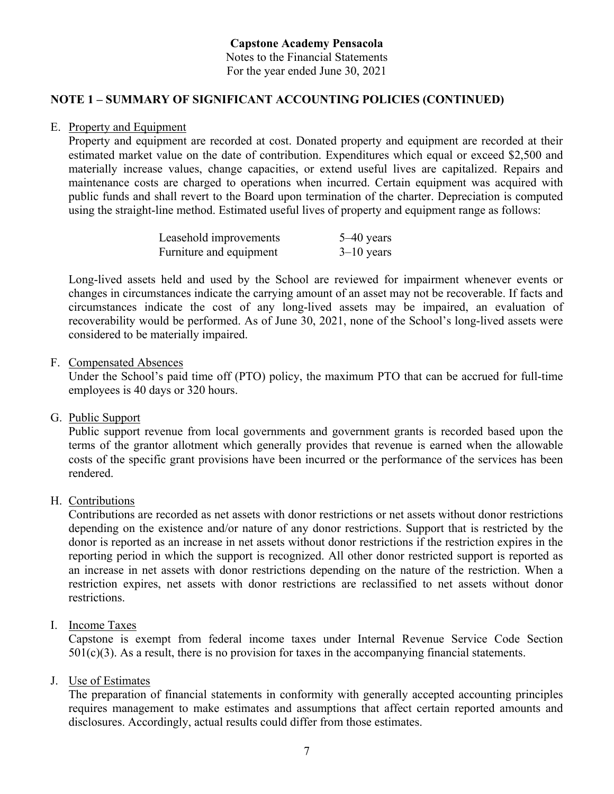## **NOTE 1 – SUMMARY OF SIGNIFICANT ACCOUNTING POLICIES (CONTINUED)**

#### E. Property and Equipment

Property and equipment are recorded at cost. Donated property and equipment are recorded at their estimated market value on the date of contribution. Expenditures which equal or exceed \$2,500 and materially increase values, change capacities, or extend useful lives are capitalized. Repairs and maintenance costs are charged to operations when incurred. Certain equipment was acquired with public funds and shall revert to the Board upon termination of the charter. Depreciation is computed using the straight-line method. Estimated useful lives of property and equipment range as follows:

| Leasehold improvements  | $5-40$ years |
|-------------------------|--------------|
| Furniture and equipment | $3-10$ years |

Long-lived assets held and used by the School are reviewed for impairment whenever events or changes in circumstances indicate the carrying amount of an asset may not be recoverable. If facts and circumstances indicate the cost of any long-lived assets may be impaired, an evaluation of recoverability would be performed. As of June 30, 2021, none of the School's long-lived assets were considered to be materially impaired.

F. Compensated Absences

Under the School's paid time off (PTO) policy, the maximum PTO that can be accrued for full-time employees is 40 days or 320 hours.

G. Public Support

Public support revenue from local governments and government grants is recorded based upon the terms of the grantor allotment which generally provides that revenue is earned when the allowable costs of the specific grant provisions have been incurred or the performance of the services has been rendered.

H. Contributions

Contributions are recorded as net assets with donor restrictions or net assets without donor restrictions depending on the existence and/or nature of any donor restrictions. Support that is restricted by the donor is reported as an increase in net assets without donor restrictions if the restriction expires in the reporting period in which the support is recognized. All other donor restricted support is reported as an increase in net assets with donor restrictions depending on the nature of the restriction. When a restriction expires, net assets with donor restrictions are reclassified to net assets without donor restrictions.

I. Income Taxes

Capstone is exempt from federal income taxes under Internal Revenue Service Code Section  $501(c)(3)$ . As a result, there is no provision for taxes in the accompanying financial statements.

### J. Use of Estimates

The preparation of financial statements in conformity with generally accepted accounting principles requires management to make estimates and assumptions that affect certain reported amounts and disclosures. Accordingly, actual results could differ from those estimates.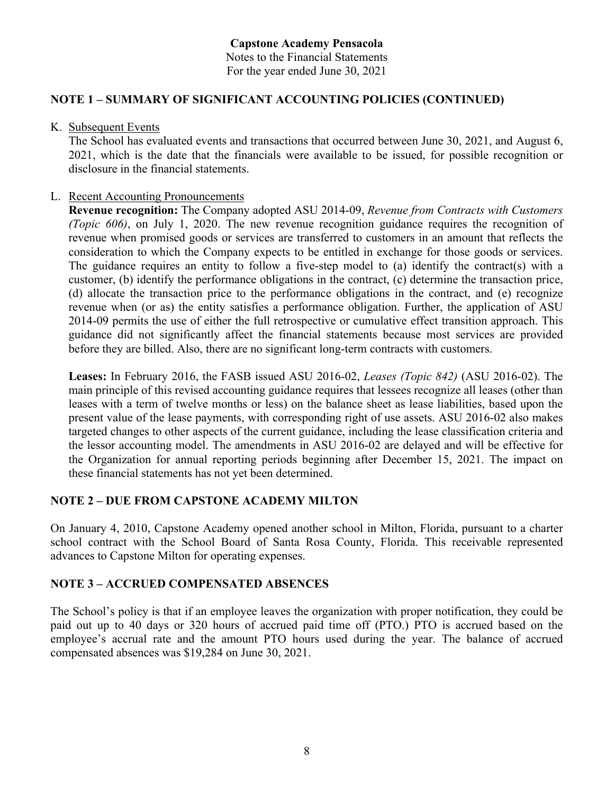## **NOTE 1 – SUMMARY OF SIGNIFICANT ACCOUNTING POLICIES (CONTINUED)**

#### K. Subsequent Events

The School has evaluated events and transactions that occurred between June 30, 2021, and August 6, 2021, which is the date that the financials were available to be issued, for possible recognition or disclosure in the financial statements.

#### L. Recent Accounting Pronouncements

**Revenue recognition:** The Company adopted ASU 2014-09, *Revenue from Contracts with Customers (Topic 606)*, on July 1, 2020. The new revenue recognition guidance requires the recognition of revenue when promised goods or services are transferred to customers in an amount that reflects the consideration to which the Company expects to be entitled in exchange for those goods or services. The guidance requires an entity to follow a five-step model to (a) identify the contract(s) with a customer, (b) identify the performance obligations in the contract, (c) determine the transaction price, (d) allocate the transaction price to the performance obligations in the contract, and (e) recognize revenue when (or as) the entity satisfies a performance obligation. Further, the application of ASU 2014-09 permits the use of either the full retrospective or cumulative effect transition approach. This guidance did not significantly affect the financial statements because most services are provided before they are billed. Also, there are no significant long-term contracts with customers.

**Leases:** In February 2016, the FASB issued ASU 2016-02, *Leases (Topic 842)* (ASU 2016-02). The main principle of this revised accounting guidance requires that lessees recognize all leases (other than leases with a term of twelve months or less) on the balance sheet as lease liabilities, based upon the present value of the lease payments, with corresponding right of use assets. ASU 2016-02 also makes targeted changes to other aspects of the current guidance, including the lease classification criteria and the lessor accounting model. The amendments in ASU 2016-02 are delayed and will be effective for the Organization for annual reporting periods beginning after December 15, 2021. The impact on these financial statements has not yet been determined.

### **NOTE 2 – DUE FROM CAPSTONE ACADEMY MILTON**

On January 4, 2010, Capstone Academy opened another school in Milton, Florida, pursuant to a charter school contract with the School Board of Santa Rosa County, Florida. This receivable represented advances to Capstone Milton for operating expenses.

### **NOTE 3 – ACCRUED COMPENSATED ABSENCES**

The School's policy is that if an employee leaves the organization with proper notification, they could be paid out up to 40 days or 320 hours of accrued paid time off (PTO.) PTO is accrued based on the employee's accrual rate and the amount PTO hours used during the year. The balance of accrued compensated absences was \$19,284 on June 30, 2021.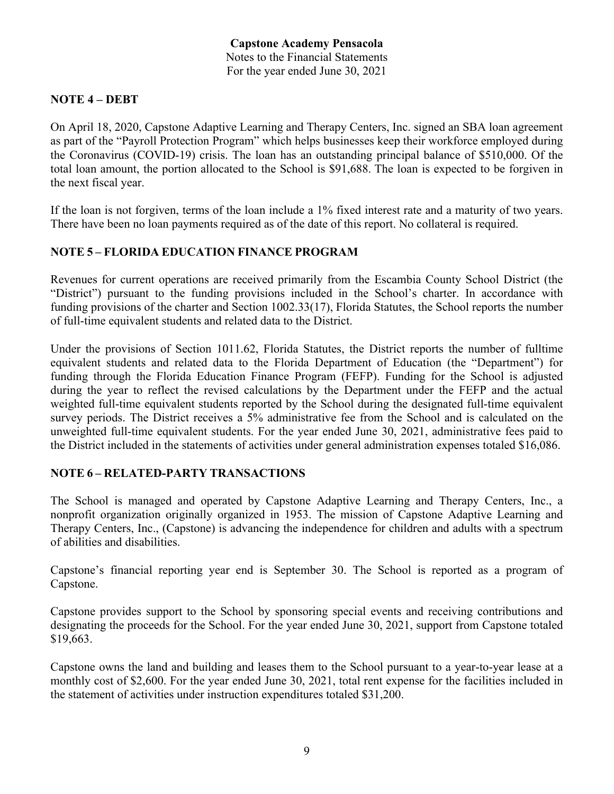# **NOTE 4 – DEBT**

On April 18, 2020, Capstone Adaptive Learning and Therapy Centers, Inc. signed an SBA loan agreement as part of the "Payroll Protection Program" which helps businesses keep their workforce employed during the Coronavirus (COVID-19) crisis. The loan has an outstanding principal balance of \$510,000. Of the total loan amount, the portion allocated to the School is \$91,688. The loan is expected to be forgiven in the next fiscal year.

If the loan is not forgiven, terms of the loan include a 1% fixed interest rate and a maturity of two years. There have been no loan payments required as of the date of this report. No collateral is required.

# **NOTE 5 – FLORIDA EDUCATION FINANCE PROGRAM**

Revenues for current operations are received primarily from the Escambia County School District (the "District") pursuant to the funding provisions included in the School's charter. In accordance with funding provisions of the charter and Section 1002.33(17), Florida Statutes, the School reports the number of full-time equivalent students and related data to the District.

Under the provisions of Section 1011.62, Florida Statutes, the District reports the number of fulltime equivalent students and related data to the Florida Department of Education (the "Department") for funding through the Florida Education Finance Program (FEFP). Funding for the School is adjusted during the year to reflect the revised calculations by the Department under the FEFP and the actual weighted full-time equivalent students reported by the School during the designated full-time equivalent survey periods. The District receives a 5% administrative fee from the School and is calculated on the unweighted full-time equivalent students. For the year ended June 30, 2021, administrative fees paid to the District included in the statements of activities under general administration expenses totaled \$16,086.

# **NOTE 6 – RELATED-PARTY TRANSACTIONS**

The School is managed and operated by Capstone Adaptive Learning and Therapy Centers, Inc., a nonprofit organization originally organized in 1953. The mission of Capstone Adaptive Learning and Therapy Centers, Inc., (Capstone) is advancing the independence for children and adults with a spectrum of abilities and disabilities.

Capstone's financial reporting year end is September 30. The School is reported as a program of Capstone.

Capstone provides support to the School by sponsoring special events and receiving contributions and designating the proceeds for the School. For the year ended June 30, 2021, support from Capstone totaled \$19,663.

Capstone owns the land and building and leases them to the School pursuant to a year-to-year lease at a monthly cost of \$2,600. For the year ended June 30, 2021, total rent expense for the facilities included in the statement of activities under instruction expenditures totaled \$31,200.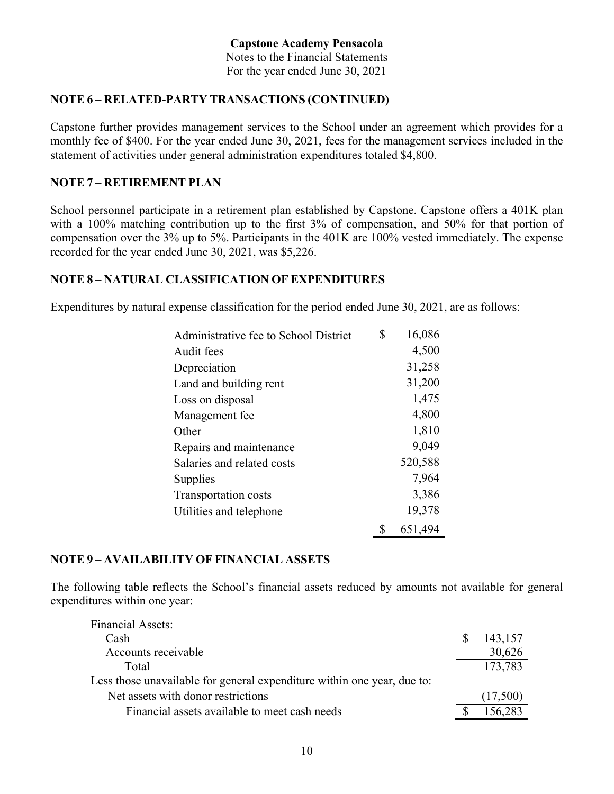## **NOTE 6 – RELATED-PARTY TRANSACTIONS (CONTINUED)**

Capstone further provides management services to the School under an agreement which provides for a monthly fee of \$400. For the year ended June 30, 2021, fees for the management services included in the statement of activities under general administration expenditures totaled \$4,800.

## **NOTE 7 – RETIREMENT PLAN**

School personnel participate in a retirement plan established by Capstone. Capstone offers a 401K plan with a 100% matching contribution up to the first 3% of compensation, and 50% for that portion of compensation over the 3% up to 5%. Participants in the 401K are 100% vested immediately. The expense recorded for the year ended June 30, 2021, was \$5,226.

# **NOTE 8 – NATURAL CLASSIFICATION OF EXPENDITURES**

Expenditures by natural expense classification for the period ended June 30, 2021, are as follows:

| Administrative fee to School District | \$<br>16,086  |
|---------------------------------------|---------------|
| Audit fees                            | 4,500         |
| Depreciation                          | 31,258        |
| Land and building rent                | 31,200        |
| Loss on disposal                      | 1,475         |
| Management fee                        | 4,800         |
| Other                                 | 1,810         |
| Repairs and maintenance               | 9,049         |
| Salaries and related costs            | 520,588       |
| Supplies                              | 7,964         |
| Transportation costs                  | 3,386         |
| Utilities and telephone               | 19,378        |
|                                       | \$<br>651,494 |

# **NOTE 9 – AVAILABILITY OF FINANCIAL ASSETS**

The following table reflects the School's financial assets reduced by amounts not available for general expenditures within one year:

| <b>Financial Assets:</b>                                                |              |          |
|-------------------------------------------------------------------------|--------------|----------|
| Cash                                                                    | <sup>S</sup> | 143,157  |
| Accounts receivable                                                     |              | 30,626   |
| Total                                                                   |              | 173,783  |
| Less those unavailable for general expenditure within one year, due to: |              |          |
| Net assets with donor restrictions                                      |              | (17,500) |
| Financial assets available to meet cash needs                           |              | 156,283  |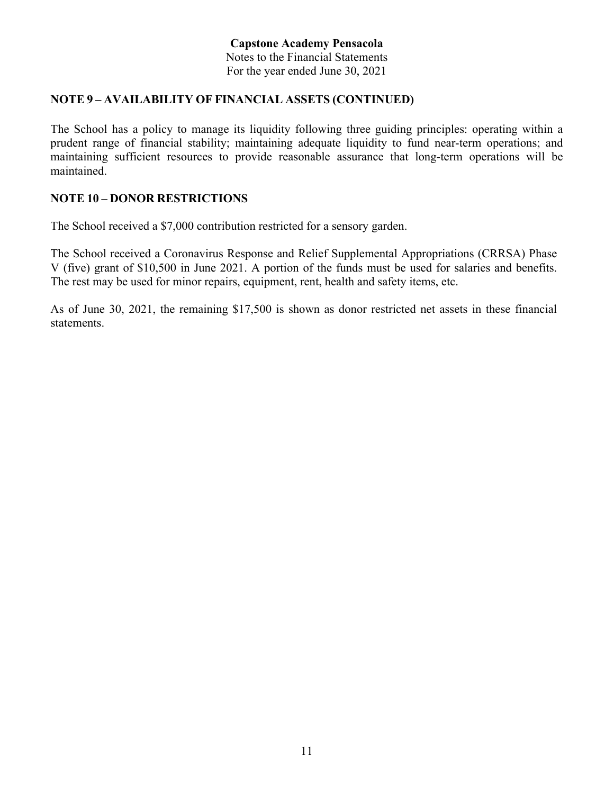### **NOTE 9 – AVAILABILITY OF FINANCIAL ASSETS (CONTINUED)**

The School has a policy to manage its liquidity following three guiding principles: operating within a prudent range of financial stability; maintaining adequate liquidity to fund near-term operations; and maintaining sufficient resources to provide reasonable assurance that long-term operations will be maintained.

### **NOTE 10 – DONOR RESTRICTIONS**

The School received a \$7,000 contribution restricted for a sensory garden.

The School received a Coronavirus Response and Relief Supplemental Appropriations (CRRSA) Phase V (five) grant of \$10,500 in June 2021. A portion of the funds must be used for salaries and benefits. The rest may be used for minor repairs, equipment, rent, health and safety items, etc.

As of June 30, 2021, the remaining \$17,500 is shown as donor restricted net assets in these financial statements.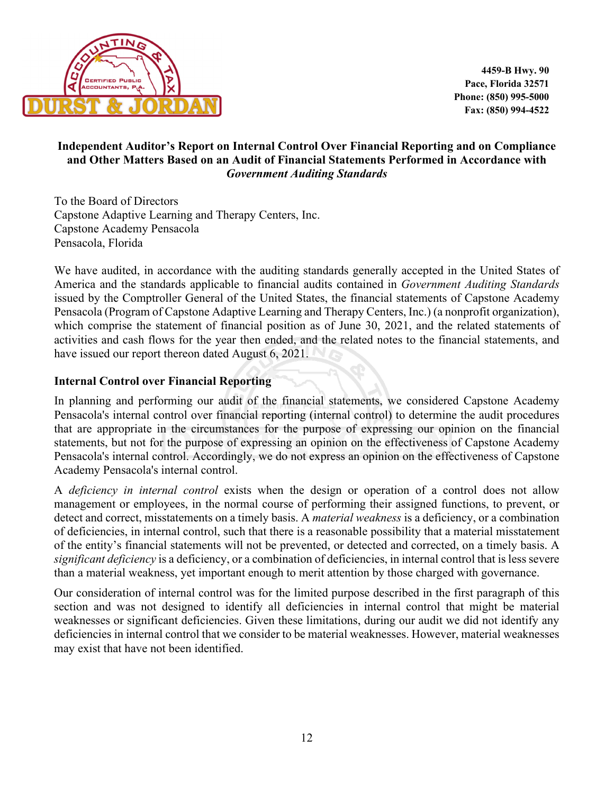

**4459-B Hwy. 90 Pace, Florida 32571 Phone: (850) 995-5000 Fax: (850) 994-4522** 

### **Independent Auditor's Report on Internal Control Over Financial Reporting and on Compliance and Other Matters Based on an Audit of Financial Statements Performed in Accordance with**  *Government Auditing Standards*

To the Board of Directors Capstone Adaptive Learning and Therapy Centers, Inc. Capstone Academy Pensacola Pensacola, Florida

We have audited, in accordance with the auditing standards generally accepted in the United States of America and the standards applicable to financial audits contained in *Government Auditing Standards* issued by the Comptroller General of the United States, the financial statements of Capstone Academy Pensacola (Program of Capstone Adaptive Learning and Therapy Centers, Inc.) (a nonprofit organization), which comprise the statement of financial position as of June 30, 2021, and the related statements of activities and cash flows for the year then ended, and the related notes to the financial statements, and have issued our report thereon dated August 6, 2021.

# **Internal Control over Financial Reporting**

In planning and performing our audit of the financial statements, we considered Capstone Academy Pensacola's internal control over financial reporting (internal control) to determine the audit procedures that are appropriate in the circumstances for the purpose of expressing our opinion on the financial statements, but not for the purpose of expressing an opinion on the effectiveness of Capstone Academy Pensacola's internal control. Accordingly, we do not express an opinion on the effectiveness of Capstone Academy Pensacola's internal control.

A *deficiency in internal control* exists when the design or operation of a control does not allow management or employees, in the normal course of performing their assigned functions, to prevent, or detect and correct, misstatements on a timely basis. A *material weakness* is a deficiency, or a combination of deficiencies, in internal control, such that there is a reasonable possibility that a material misstatement of the entity's financial statements will not be prevented, or detected and corrected, on a timely basis. A *significant deficiency* is a deficiency, or a combination of deficiencies, in internal control that is less severe than a material weakness, yet important enough to merit attention by those charged with governance.

Our consideration of internal control was for the limited purpose described in the first paragraph of this section and was not designed to identify all deficiencies in internal control that might be material weaknesses or significant deficiencies. Given these limitations, during our audit we did not identify any deficiencies in internal control that we consider to be material weaknesses. However, material weaknesses may exist that have not been identified.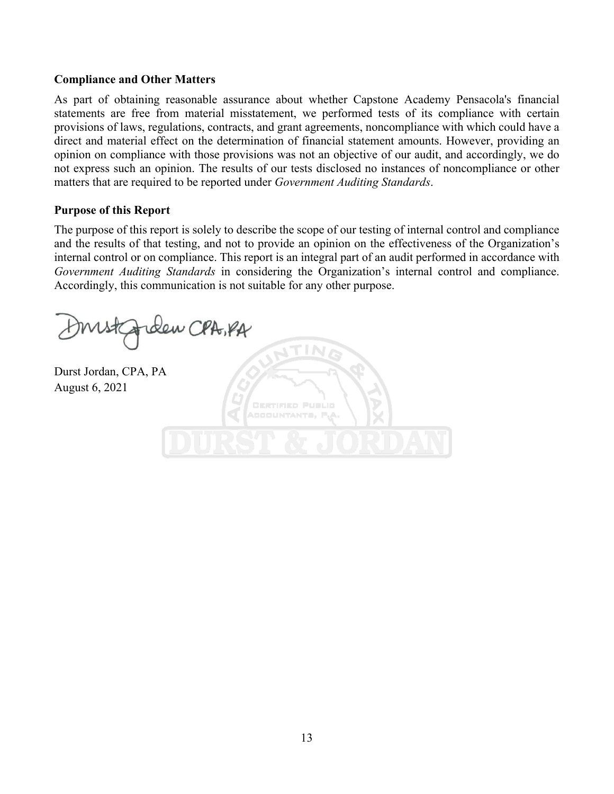### **Compliance and Other Matters**

As part of obtaining reasonable assurance about whether Capstone Academy Pensacola's financial statements are free from material misstatement, we performed tests of its compliance with certain provisions of laws, regulations, contracts, and grant agreements, noncompliance with which could have a direct and material effect on the determination of financial statement amounts. However, providing an opinion on compliance with those provisions was not an objective of our audit, and accordingly, we do not express such an opinion. The results of our tests disclosed no instances of noncompliance or other matters that are required to be reported under *Government Auditing Standards*.

### **Purpose of this Report**

The purpose of this report is solely to describe the scope of our testing of internal control and compliance and the results of that testing, and not to provide an opinion on the effectiveness of the Organization's internal control or on compliance. This report is an integral part of an audit performed in accordance with *Government Auditing Standards* in considering the Organization's internal control and compliance. Accordingly, this communication is not suitable for any other purpose.

Fiden CPA, PA Durst Jordan, CPA, PA August 6, 2021 **BERTIFIED PUBLIC**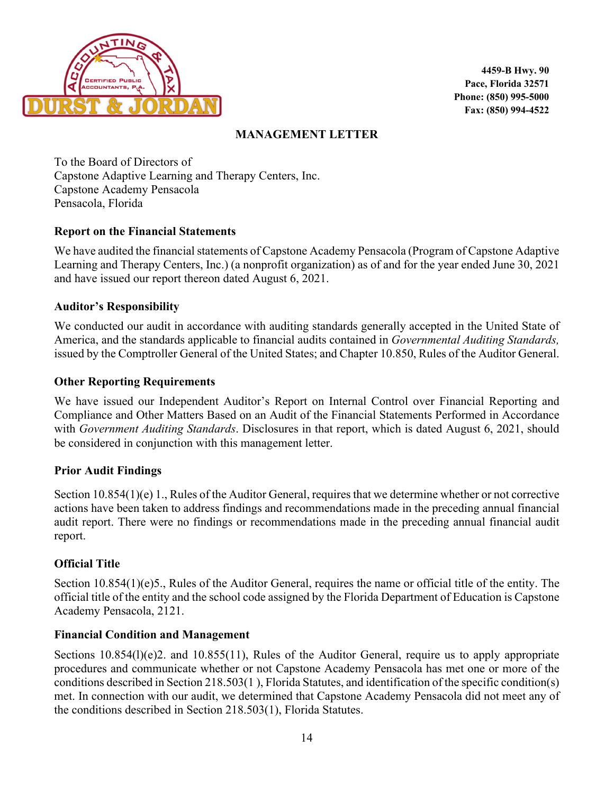

**4459-B Hwy. 90 Pace, Florida 32571 Phone: (850) 995-5000 Fax: (850) 994-4522** 

## **MANAGEMENT LETTER**

To the Board of Directors of Capstone Adaptive Learning and Therapy Centers, Inc. Capstone Academy Pensacola Pensacola, Florida

### **Report on the Financial Statements**

We have audited the financial statements of Capstone Academy Pensacola (Program of Capstone Adaptive Learning and Therapy Centers, Inc.) (a nonprofit organization) as of and for the year ended June 30, 2021 and have issued our report thereon dated August 6, 2021.

### **Auditor's Responsibility**

We conducted our audit in accordance with auditing standards generally accepted in the United State of America, and the standards applicable to financial audits contained in *Governmental Auditing Standards,* issued by the Comptroller General of the United States; and Chapter 10.850, Rules of the Auditor General.

### **Other Reporting Requirements**

We have issued our Independent Auditor's Report on Internal Control over Financial Reporting and Compliance and Other Matters Based on an Audit of the Financial Statements Performed in Accordance with *Government Auditing Standards*. Disclosures in that report, which is dated August 6, 2021, should be considered in conjunction with this management letter.

### **Prior Audit Findings**

Section 10.854(1)(e) 1., Rules of the Auditor General, requires that we determine whether or not corrective actions have been taken to address findings and recommendations made in the preceding annual financial audit report. There were no findings or recommendations made in the preceding annual financial audit report.

### **Official Title**

Section 10.854(1)(e)5., Rules of the Auditor General, requires the name or official title of the entity. The official title of the entity and the school code assigned by the Florida Department of Education is Capstone Academy Pensacola, 2121.

### **Financial Condition and Management**

Sections 10.854(1)(e)2. and 10.855(11), Rules of the Auditor General, require us to apply appropriate procedures and communicate whether or not Capstone Academy Pensacola has met one or more of the conditions described in Section 218.503(1 ), Florida Statutes, and identification of the specific condition(s) met. In connection with our audit, we determined that Capstone Academy Pensacola did not meet any of the conditions described in Section 218.503(1), Florida Statutes.